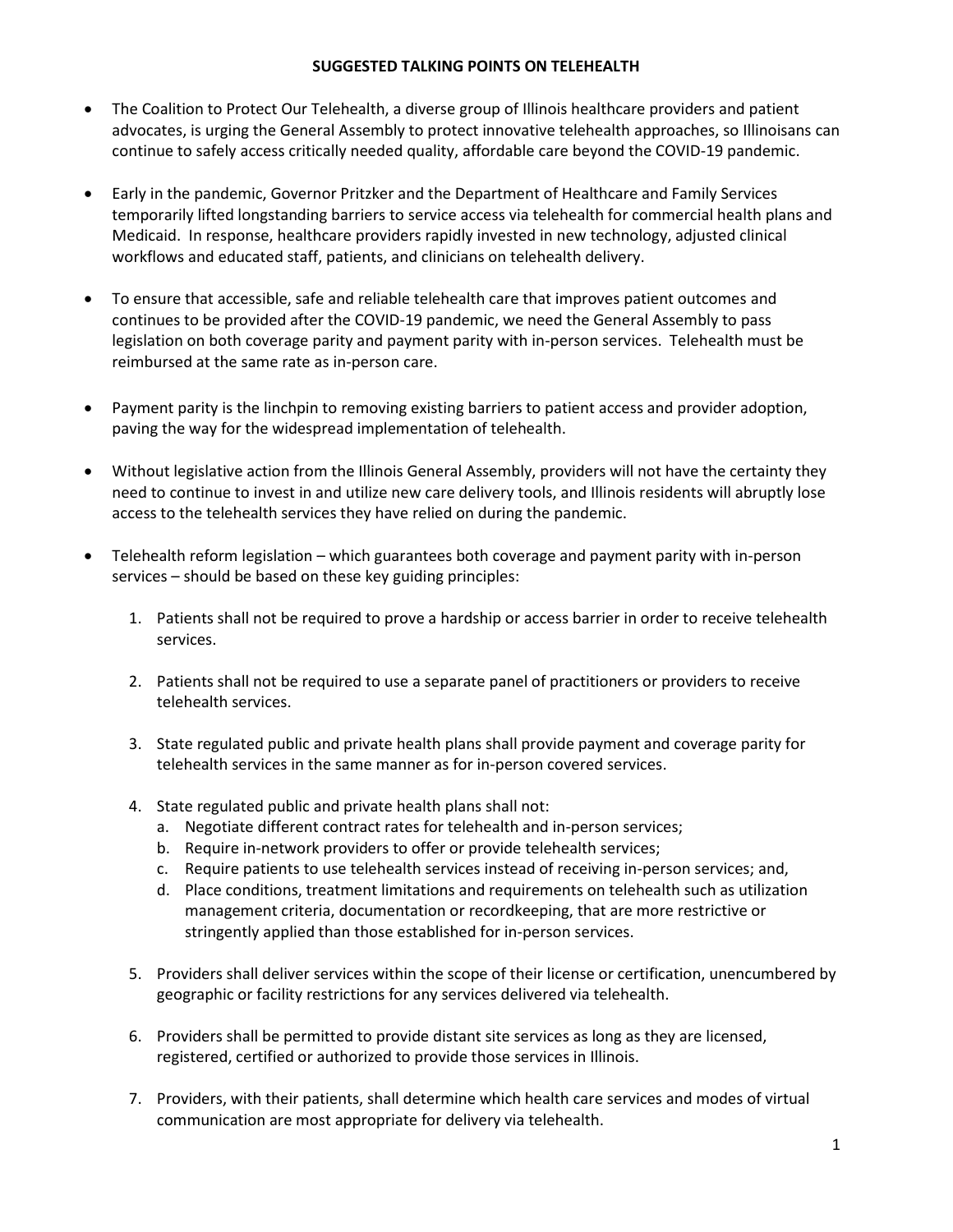## **SUGGESTED TALKING POINTS ON TELEHEALTH**

- The Coalition to Protect Our Telehealth, a diverse group of Illinois healthcare providers and patient advocates, is urging the General Assembly to protect innovative telehealth approaches, so Illinoisans can continue to safely access critically needed quality, affordable care beyond the COVID-19 pandemic.
- Early in the pandemic, Governor Pritzker and the Department of Healthcare and Family Services temporarily lifted longstanding barriers to service access via telehealth for commercial health plans and Medicaid. In response, healthcare providers rapidly invested in new technology, adjusted clinical workflows and educated staff, patients, and clinicians on telehealth delivery.
- To ensure that accessible, safe and reliable telehealth care that improves patient outcomes and continues to be provided after the COVID-19 pandemic, we need the General Assembly to pass legislation on both coverage parity and payment parity with in-person services. Telehealth must be reimbursed at the same rate as in-person care.
- Payment parity is the linchpin to removing existing barriers to patient access and provider adoption, paving the way for the widespread implementation of telehealth.
- Without legislative action from the Illinois General Assembly, providers will not have the certainty they need to continue to invest in and utilize new care delivery tools, and Illinois residents will abruptly lose access to the telehealth services they have relied on during the pandemic.
- Telehealth reform legislation which guarantees both coverage and payment parity with in-person services – should be based on these key guiding principles:
	- 1. Patients shall not be required to prove a hardship or access barrier in order to receive telehealth services.
	- 2. Patients shall not be required to use a separate panel of practitioners or providers to receive telehealth services.
	- 3. State regulated public and private health plans shall provide payment and coverage parity for telehealth services in the same manner as for in-person covered services.
	- 4. State regulated public and private health plans shall not:
		- a. Negotiate different contract rates for telehealth and in-person services;
		- b. Require in-network providers to offer or provide telehealth services;
		- c. Require patients to use telehealth services instead of receiving in-person services; and,
		- d. Place conditions, treatment limitations and requirements on telehealth such as utilization management criteria, documentation or recordkeeping, that are more restrictive or stringently applied than those established for in-person services.
	- 5. Providers shall deliver services within the scope of their license or certification, unencumbered by geographic or facility restrictions for any services delivered via telehealth.
	- 6. Providers shall be permitted to provide distant site services as long as they are licensed, registered, certified or authorized to provide those services in Illinois.
	- 7. Providers, with their patients, shall determine which health care services and modes of virtual communication are most appropriate for delivery via telehealth.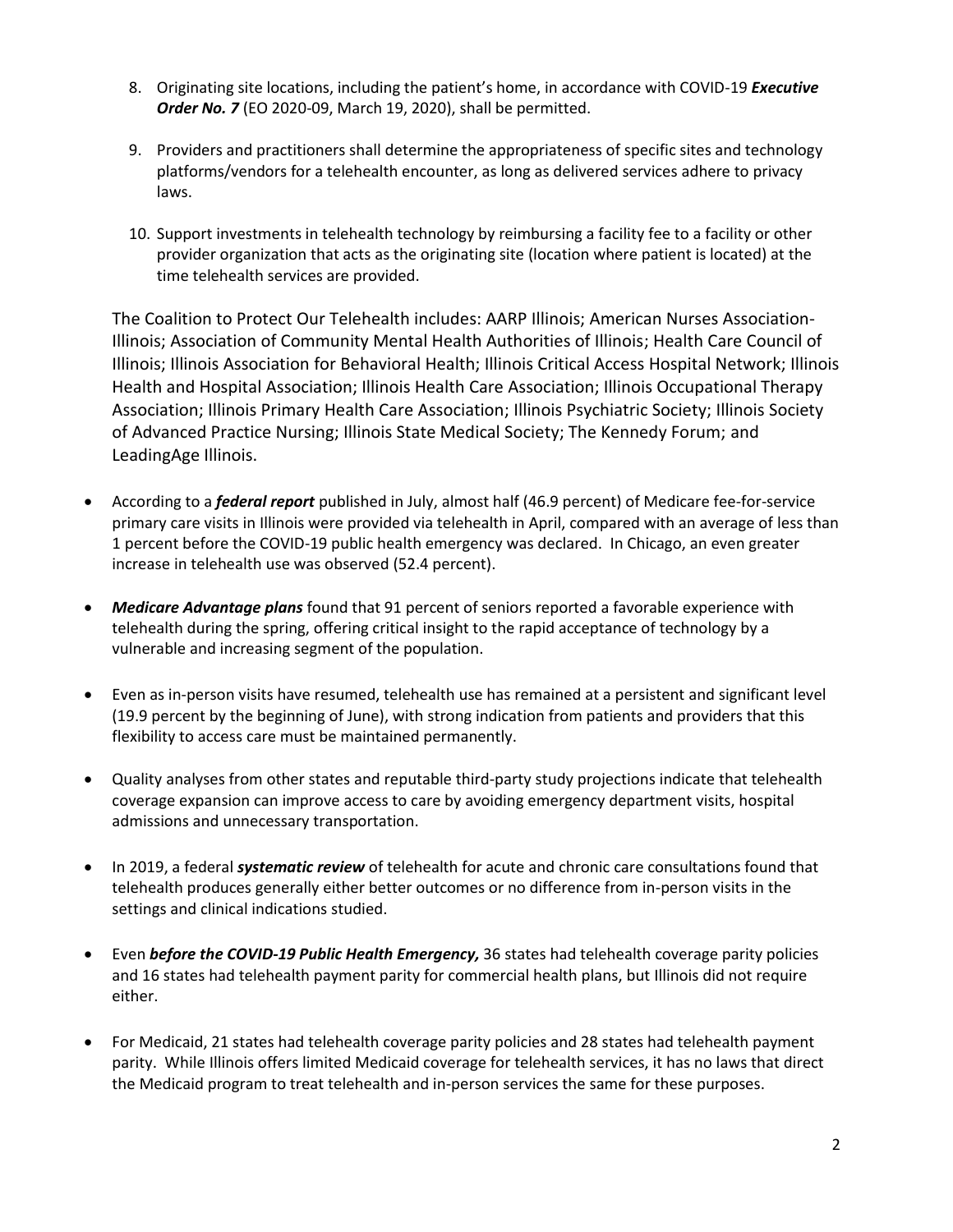- 8. Originating site locations, including the patient's home, in accordance with COVID-19 *Executive Order No. 7* (EO 2020-09, March 19, 2020), shall be permitted.
- 9. Providers and practitioners shall determine the appropriateness of specific sites and technology platforms/vendors for a telehealth encounter, as long as delivered services adhere to privacy laws.
- 10. Support investments in telehealth technology by reimbursing a facility fee to a facility or other provider organization that acts as the originating site (location where patient is located) at the time telehealth services are provided.

The Coalition to Protect Our Telehealth includes: AARP Illinois; American Nurses Association-Illinois; Association of Community Mental Health Authorities of Illinois; Health Care Council of Illinois; Illinois Association for Behavioral Health; Illinois Critical Access Hospital Network; Illinois Health and Hospital Association; Illinois Health Care Association; Illinois Occupational Therapy Association; Illinois Primary Health Care Association; Illinois Psychiatric Society; Illinois Society of Advanced Practice Nursing; Illinois State Medical Society; The Kennedy Forum; and LeadingAge Illinois.

- According to a *federal report* published in July, almost half (46.9 percent) of Medicare fee-for-service primary care visits in Illinois were provided via telehealth in April, compared with an average of less than 1 percent before the COVID-19 public health emergency was declared. In Chicago, an even greater increase in telehealth use was observed (52.4 percent).
- *Medicare Advantage plans* found that 91 percent of seniors reported a favorable experience with telehealth during the spring, offering critical insight to the rapid acceptance of technology by a vulnerable and increasing segment of the population.
- Even as in-person visits have resumed, telehealth use has remained at a persistent and significant level (19.9 percent by the beginning of June), with strong indication from patients and providers that this flexibility to access care must be maintained permanently.
- Quality analyses from other states and reputable third-party study projections indicate that telehealth coverage expansion can improve access to care by avoiding emergency department visits, hospital admissions and unnecessary transportation.
- In 2019, a federal *systematic review* of telehealth for acute and chronic care consultations found that telehealth produces generally either better outcomes or no difference from in-person visits in the settings and clinical indications studied.
- Even *before the COVID-19 Public Health Emergency,* 36 states had telehealth coverage parity policies and 16 states had telehealth payment parity for commercial health plans, but Illinois did not require either.
- For Medicaid, 21 states had telehealth coverage parity policies and 28 states had telehealth payment parity. While Illinois offers limited Medicaid coverage for telehealth services, it has no laws that direct the Medicaid program to treat telehealth and in-person services the same for these purposes.